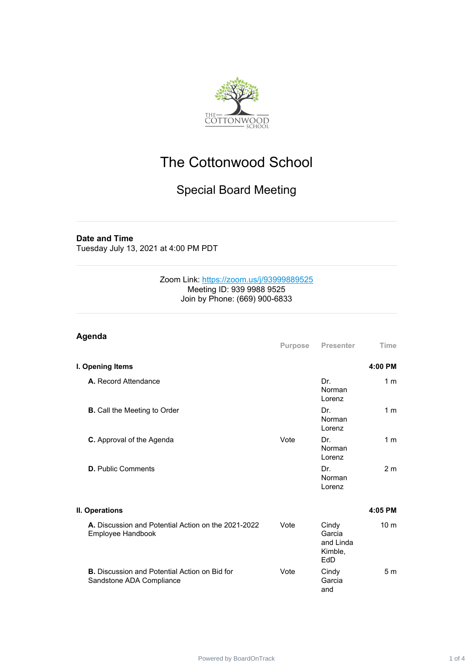

# The Cottonwood School

## Special Board Meeting

#### **Date and Time**

Tuesday July 13, 2021 at 4:00 PM PDT

#### Zoom Link: [https://zoom.us/j/93999889525](https://www.google.com/url?q=https://zoom.us/j/93999889525&sa=D&source=calendar&ust=1626286217524000&usg=AOvVaw1kRExw2xUagsJFE--h8HOl) Meeting ID: 939 9988 9525 Join by Phone: (669) 900-6833

| Agenda                                                                           | Purpose | <b>Presenter</b>                                      | Time            |
|----------------------------------------------------------------------------------|---------|-------------------------------------------------------|-----------------|
| I. Opening Items                                                                 |         |                                                       | 4:00 PM         |
| A. Record Attendance                                                             |         | Dr.<br>Norman<br>Lorenz                               | 1 <sub>m</sub>  |
| <b>B.</b> Call the Meeting to Order                                              |         | Dr.<br>Norman<br>Lorenz                               | 1 <sub>m</sub>  |
| C. Approval of the Agenda                                                        | Vote    | Dr.<br>Norman<br>Lorenz                               | 1 <sub>m</sub>  |
| <b>D.</b> Public Comments                                                        |         | Dr.<br>Norman<br>Lorenz                               | 2 <sub>m</sub>  |
| II. Operations                                                                   |         |                                                       | 4:05 PM         |
| A. Discussion and Potential Action on the 2021-2022<br>Employee Handbook         | Vote    | Cindy<br>Garcia<br>and Linda<br>Kimble,<br><b>FdD</b> | 10 <sub>m</sub> |
| <b>B.</b> Discussion and Potential Action on Bid for<br>Sandstone ADA Compliance | Vote    | Cindy<br>Garcia<br>and                                | 5 <sub>m</sub>  |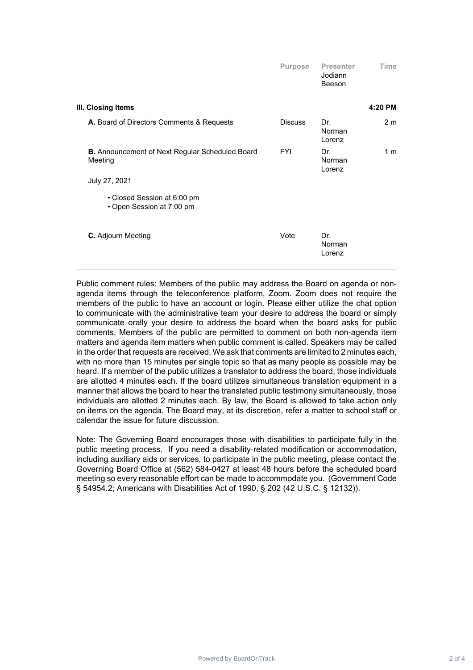|                                                                   | <b>Purpose</b> | <b>Presenter</b><br>Jodiann<br>Beeson | Time           |
|-------------------------------------------------------------------|----------------|---------------------------------------|----------------|
| III. Closing Items                                                |                |                                       | 4:20 PM        |
| A. Board of Directors Comments & Requests                         | <b>Discuss</b> | Dr.<br>Norman<br>Lorenz               | 2 <sub>m</sub> |
| <b>B.</b> Announcement of Next Regular Scheduled Board<br>Meeting | <b>FYI</b>     | Dr.<br>Norman<br>Lorenz               | 1 <sub>m</sub> |
| July 27, 2021                                                     |                |                                       |                |
| • Closed Session at 6:00 pm<br>• Open Session at 7:00 pm          |                |                                       |                |
| C. Adjourn Meeting                                                | Vote           | Dr.<br>Norman<br>Lorenz               |                |

Public comment rules: Members of the public may address the Board on agenda or nonagenda items through the teleconference platform, Zoom. Zoom does not require the members of the public to have an account or login. Please either utilize the chat option to communicate with the administrative team your desire to address the board or simply communicate orally your desire to address the board when the board asks for public comments. Members of the public are permitted to comment on both non-agenda item matters and agenda item matters when public comment is called. Speakers may be called in the order that requests are received. We ask that comments are limited to 2 minutes each, with no more than 15 minutes per single topic so that as many people as possible may be heard. If a member of the public utilizes a translator to address the board, those individuals are allotted 4 minutes each. If the board utilizes simultaneous translation equipment in a manner that allows the board to hear the translated public testimony simultaneously, those individuals are allotted 2 minutes each. By law, the Board is allowed to take action only on items on the agenda. The Board may, at its discretion, refer a matter to school staff or calendar the issue for future discussion.

Note: The Governing Board encourages those with disabilities to participate fully in the public meeting process. If you need a disability-related modification or accommodation, including auxiliary aids or services, to participate in the public meeting, please contact the Governing Board Office at (562) 584-0427 at least 48 hours before the scheduled board meeting so every reasonable effort can be made to accommodate you. (Government Code § 54954.2; Americans with Disabilities Act of 1990, § 202 (42 U.S.C. § 12132)).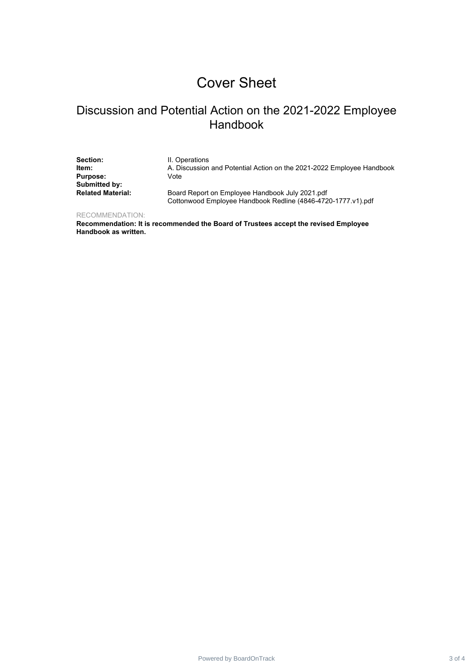# Cover Sheet

#### Discussion and Potential Action on the 2021-2022 Employee Handbook

**Section:** II. Operations<br> **Item:** A. Discussion **Purpose:** Vote **Submitted by:**

**Item:** A. Discussion and Potential Action on the 2021-2022 Employee Handbook

**Related Material:** Board Report on Employee Handbook July 2021.pdf Cottonwood Employee Handbook Redline (4846-4720-1777.v1).pdf

RECOMMENDATION:

**Recommendation: It is recommended the Board of Trustees accept the revised Employee Handbook as written.**